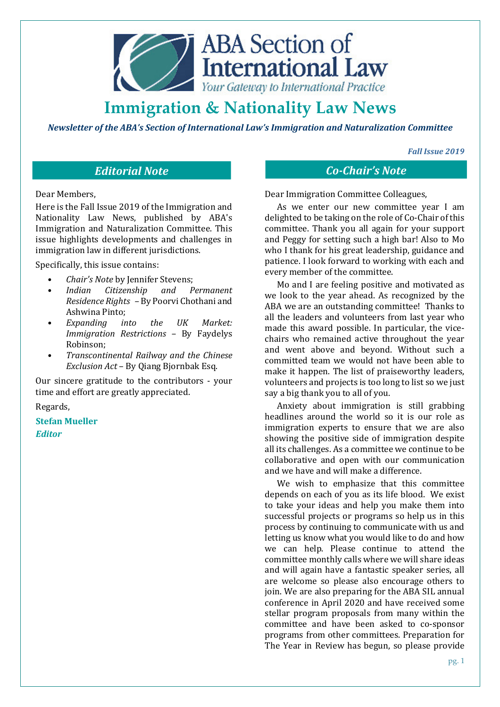

*Newsletter of the ABA's Section of International Law's Immigration and Naturalization Committee* 

*Fall Issue 2019* 

Dear Members,

Here is the Fall Issue 2019 of the Immigration and Nationality Law News, published by ABA's Immigration and Naturalization Committee. This issue highlights developments and challenges in immigration law in different jurisdictions.

Specifically, this issue contains:

- *Chair's Note* by Jennifer Stevens;
- *Indian Citizenship and Permanent Residence Rights –* By Poorvi Chothani and Ashwina Pinto;
- *Expanding into the UK Market: Immigration Restrictions –* By Faydelys Robinson;
- *Transcontinental Railway and the Chinese Exclusion Act* – By Qiang Bjornbak Esq.

Our sincere gratitude to the contributors - your time and effort are greatly appreciated.

Regards,

**Stefan Mueller** *Editor*

*Editorial Note Co-Chair's Note*

Dear Immigration Committee Colleagues,

As we enter our new committee year I am delighted to be taking on the role of Co-Chair of this committee. Thank you all again for your support and Peggy for setting such a high bar! Also to Mo who I thank for his great leadership, guidance and patience. I look forward to working with each and every member of the committee.

Mo and I are feeling positive and motivated as we look to the year ahead. As recognized by the ABA we are an outstanding committee! Thanks to all the leaders and volunteers from last year who made this award possible. In particular, the vicechairs who remained active throughout the year and went above and beyond. Without such a committed team we would not have been able to make it happen. The list of praiseworthy leaders, volunteers and projects is too long to list so we just say a big thank you to all of you.

Anxiety about immigration is still grabbing headlines around the world so it is our role as immigration experts to ensure that we are also showing the positive side of immigration despite all its challenges. As a committee we continue to be collaborative and open with our communication and we have and will make a difference.

We wish to emphasize that this committee depends on each of you as its life blood. We exist to take your ideas and help you make them into successful projects or programs so help us in this process by continuing to communicate with us and letting us know what you would like to do and how we can help. Please continue to attend the committee monthly calls where we will share ideas and will again have a fantastic speaker series, all are welcome so please also encourage others to join. We are also preparing for the ABA SIL annual conference in April 2020 and have received some stellar program proposals from many within the committee and have been asked to co-sponsor programs from other committees. Preparation for The Year in Review has begun, so please provide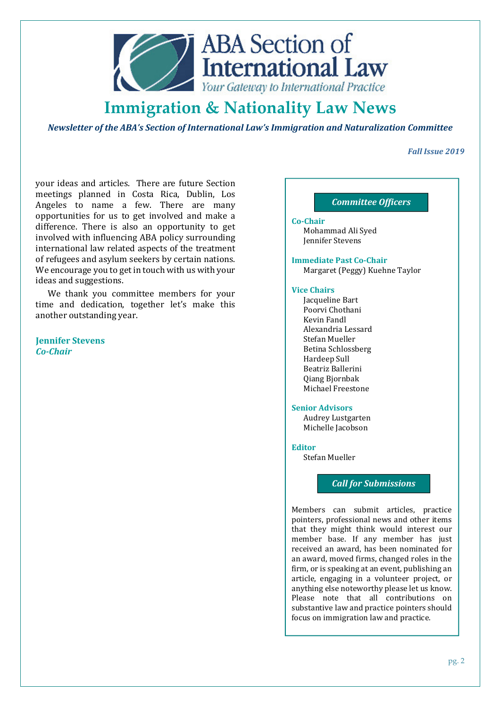

*Newsletter of the ABA's Section of International Law's Immigration and Naturalization Committee* 

# *Fall Issue 2019*

your ideas and articles. There are future Section meetings planned in Costa Rica, Dublin, Los Angeles to name a few. There are many opportunities for us to get involved and make a difference. There is also an opportunity to get involved with influencing ABA policy surrounding international law related aspects of the treatment of refugees and asylum seekers by certain nations. We encourage you to get in touch with us with your ideas and suggestions.

We thank you committee members for your time and dedication, together let's make this another outstanding year.

**Jennifer Stevens**  *Co-Chair*

# *Committee Officers*

**Co-Chair**  Mohammad Ali Syed Jennifer Stevens

**Immediate Past Co-Chair**  Margaret (Peggy) Kuehne Taylor

#### **Vice Chairs**

Jacqueline Bart Poorvi Chothani Kevin Fandl Alexandria Lessard Stefan Mueller Betina Schlossberg Hardeep Sull Beatriz Ballerini Qiang Bjornbak Michael Freestone

### **Senior Advisors**

Audrey Lustgarten Michelle Jacobson

### **Editor**

Stefan Mueller

# *Call for Submissions*

Members can submit articles, practice pointers, professional news and other items that they might think would interest our member base. If any member has just received an award, has been nominated for an award, moved firms, changed roles in the firm, or is speaking at an event, publishing an article, engaging in a volunteer project, or anything else noteworthy please let us know. Please note that all contributions on substantive law and practice pointers should focus on immigration law and practice.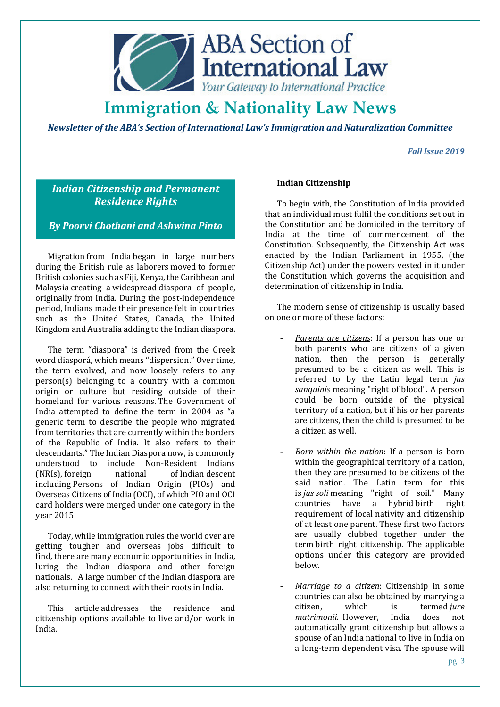

*Newsletter of the ABA's Section of International Law's Immigration and Naturalization Committee* 

*Fall Issue 2019* 

# *Indian Citizenship and Permanent Residence Rights*

# *By Poorvi Chothani and Ashwina Pinto*

Migration from India began in large numbers during the British rule as laborers moved to former British colonies such as Fiji, Kenya, the Caribbean and Malaysia creating a widespread diaspora of people, originally from India. During the post-independence period, Indians made their presence felt in countries such as the United States, Canada, the United Kingdom and Australia adding to the Indian diaspora.

The term "diaspora" is derived from the Greek word diasporá, which means "dispersion." Over time, the term evolved, and now loosely refers to any person(s) belonging to a country with a common origin or culture but residing outside of their homeland for various reasons. The Government of India attempted to define the term in 2004 as "a generic term to describe the people who migrated from territories that are currently within the borders of the Republic of India. It also refers to their descendants." The Indian Diaspora now, is commonly understood to include Non-Resident Indians (NRIs), foreign national of Indian descent including Persons of Indian Origin (PIOs) and Overseas Citizens of India (OCI), of which PIO and OCI card holders were merged under one category in the year 2015.

Today, while immigration rules the world over are getting tougher and overseas jobs difficult to find, there are many economic opportunities in India, luring the Indian diaspora and other foreign nationals. A large number of the Indian diaspora are also returning to connect with their roots in India.

This article addresses the residence and citizenship options available to live and/or work in India.

# **Indian Citizenship**

To begin with, the Constitution of India provided that an individual must fulfil the conditions set out in the Constitution and be domiciled in the territory of India at the time of commencement of the Constitution. Subsequently, the Citizenship Act was enacted by the Indian Parliament in 1955, (the Citizenship Act) under the powers vested in it under the Constitution which governs the acquisition and determination of citizenship in India.

The modern sense of citizenship is usually based on one or more of these factors:

- *Parents are citizens*: If a person has one or both parents who are citizens of a given nation, then the person is generally presumed to be a citizen as well. This is referred to by the Latin legal term *jus sanguinis* meaning "right of blood". A person could be born outside of the physical territory of a nation, but if his or her parents are citizens, then the child is presumed to be a citizen as well.
- *Born within the nation*: If a person is born within the geographical territory of a nation, then they are presumed to be citizens of the said nation. The Latin term for this is *jus soli* meaning "right of soil." Many countries have a hybrid birth right requirement of local nativity and citizenship of at least one parent. These first two factors are usually clubbed together under the term birth right citizenship. The applicable options under this category are provided below.
- *Marriage to a citizen*: Citizenship in some countries can also be obtained by marrying a citizen, which is termed *jure matrimonii*. However, India does not automatically grant citizenship but allows a spouse of an India national to live in India on a long-term dependent visa. The spouse will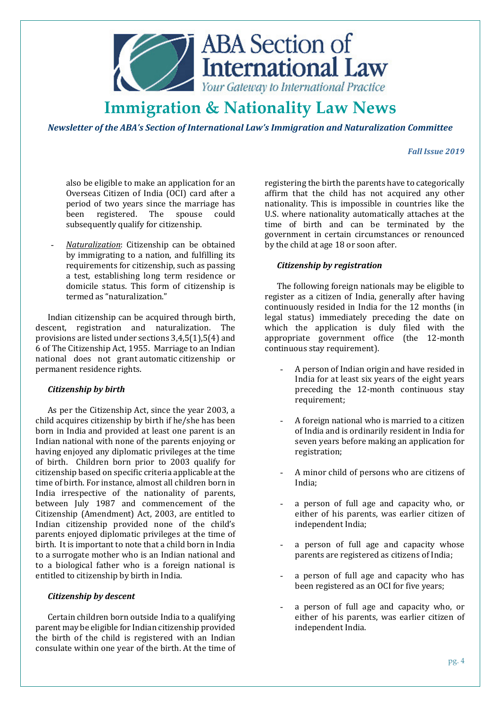

*Newsletter of the ABA's Section of International Law's Immigration and Naturalization Committee* 

### *Fall Issue 2019*

also be eligible to make an application for an Overseas Citizen of India (OCI) card after a period of two years since the marriage has been registered. The spouse could subsequently qualify for citizenship.

- *Naturalization*: Citizenship can be obtained by immigrating to a nation, and fulfilling its requirements for citizenship, such as passing a test, establishing long term residence or domicile status. This form of citizenship is termed as "naturalization."

Indian citizenship can be acquired through birth, descent, registration and naturalization. The provisions are listed under sections 3,4,5(1),5(4) and 6 of The Citizenship Act, 1955. Marriage to an Indian national does not grant automatic citizenship or permanent residence rights.

# *Citizenship by birth*

As per the Citizenship Act, since the year 2003, a child acquires citizenship by birth if he/she has been born in India and provided at least one parent is an Indian national with none of the parents enjoying or having enjoyed any diplomatic privileges at the time of birth. Children born prior to 2003 qualify for citizenship based on specific criteria applicable at the time of birth. For instance, almost all children born in India irrespective of the nationality of parents, between July 1987 and commencement of the Citizenship (Amendment) Act, 2003, are entitled to Indian citizenship provided none of the child's parents enjoyed diplomatic privileges at the time of birth. It is important to note that a child born in India to a surrogate mother who is an Indian national and to a biological father who is a foreign national is entitled to citizenship by birth in India.

### *Citizenship by descent*

Certain children born outside India to a qualifying parent may be eligible for Indian citizenship provided the birth of the child is registered with an Indian consulate within one year of the birth. At the time of registering the birth the parents have to categorically affirm that the child has not acquired any other nationality. This is impossible in countries like the U.S. where nationality automatically attaches at the time of birth and can be terminated by the government in certain circumstances or renounced by the child at age 18 or soon after.

### *Citizenship by registration*

The following foreign nationals may be eligible to register as a citizen of India, generally after having continuously resided in India for the 12 months (in legal status) immediately preceding the date on which the application is duly filed with the appropriate government office (the 12-month continuous stay requirement).

- A person of Indian origin and have resided in India for at least six years of the eight years preceding the 12-month continuous stay requirement;
- A foreign national who is married to a citizen of India and is ordinarily resident in India for seven years before making an application for registration;
- A minor child of persons who are citizens of India;
- a person of full age and capacity who, or either of his parents, was earlier citizen of independent India;
- a person of full age and capacity whose parents are registered as citizens of India;
- a person of full age and capacity who has been registered as an OCI for five years;
- a person of full age and capacity who, or either of his parents, was earlier citizen of independent India.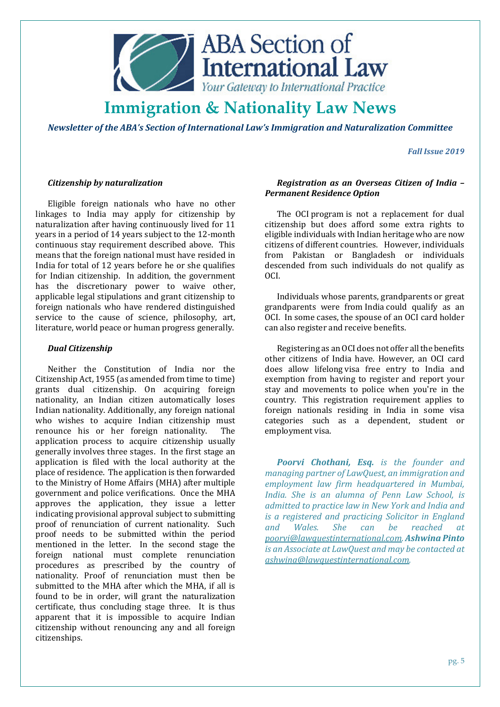

*Newsletter of the ABA's Section of International Law's Immigration and Naturalization Committee* 

*Fall Issue 2019* 

### *Citizenship by naturalization*

Eligible foreign nationals who have no other linkages to India may apply for citizenship by naturalization after having continuously lived for 11 years in a period of 14 years subject to the 12-month continuous stay requirement described above. This means that the foreign national must have resided in India for total of 12 years before he or she qualifies for Indian citizenship. In addition, the government has the discretionary power to waive other, applicable legal stipulations and grant citizenship to foreign nationals who have rendered distinguished service to the cause of science, philosophy, art, literature, world peace or human progress generally.

### *Dual Citizenship*

Neither the Constitution of India nor the Citizenship Act, 1955 (as amended from time to time) grants dual citizenship. On acquiring foreign nationality, an Indian citizen automatically loses Indian nationality. Additionally, any foreign national who wishes to acquire Indian citizenship must renounce his or her foreign nationality. The application process to acquire citizenship usually generally involves three stages. In the first stage an application is filed with the local authority at the place of residence. The application is then forwarded to the Ministry of Home Affairs (MHA) after multiple government and police verifications. Once the MHA approves the application, they issue a letter indicating provisional approval subject to submitting proof of renunciation of current nationality. Such proof needs to be submitted within the period mentioned in the letter. In the second stage the foreign national must complete renunciation procedures as prescribed by the country of nationality. Proof of renunciation must then be submitted to the MHA after which the MHA, if all is found to be in order, will grant the naturalization certificate, thus concluding stage three. It is thus apparent that it is impossible to acquire Indian citizenship without renouncing any and all foreign citizenships.

# *Registration as an Overseas Citizen of India – Permanent Residence Option*

The OCI program is not a replacement for dual citizenship but does afford some extra rights to eligible individuals with Indian heritage who are now citizens of different countries. However, individuals from Pakistan or Bangladesh or individuals descended from such individuals do not qualify as OCI.

Individuals whose parents, grandparents or great grandparents were from India could qualify as an OCI. In some cases, the spouse of an OCI card holder can also register and receive benefits.

Registering as an OCI does not offer all the benefits other citizens of India have. However, an OCI card does allow lifelong visa free entry to India and exemption from having to register and report your stay and movements to police when you're in the country. This registration requirement applies to foreign nationals residing in India in some visa categories such as a dependent, student or employment visa.

*Poorvi Chothani, Esq. is the founder and managing partner of LawQuest, an immigration and employment law firm headquartered in Mumbai, India. She is an alumna of Penn Law School, is admitted to practice law in New York and India and is a registered and practicing Solicitor in England and Wales. She can be reached at poorvi@lawquestinternational.com. Ashwina Pinto is an Associate at LawQuest and may be contacted at ashwina@lawquestinternational.com.*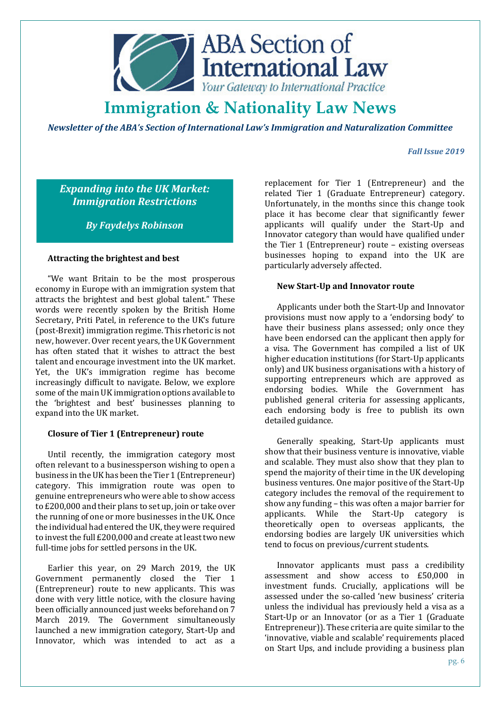

*Newsletter of the ABA's Section of International Law's Immigration and Naturalization Committee* 

### *Fall Issue 2019*

*Expanding into the UK Market: Immigration Restrictions* 

*By Faydelys Robinson* 

### **Attracting the brightest and best**

"We want Britain to be the most prosperous economy in Europe with an immigration system that attracts the brightest and best global talent." These words were recently spoken by the British Home Secretary, Priti Patel, in reference to the UK's future (post-Brexit) immigration regime. This rhetoric is not new, however. Over recent years, the UK Government has often stated that it wishes to attract the best talent and encourage investment into the UK market. Yet, the UK's immigration regime has become increasingly difficult to navigate. Below, we explore some of the main UK immigration options available to the 'brightest and best' businesses planning to expand into the UK market.

### **Closure of Tier 1 (Entrepreneur) route**

Until recently, the immigration category most often relevant to a businessperson wishing to open a business in the UK has been the Tier 1 (Entrepreneur) category. This immigration route was open to genuine entrepreneurs who were able to show access to £200,000 and their plans to set up, join or take over the running of one or more businesses in the UK. Once the individual had entered the UK, they were required to invest the full £200,000 and create at least two new full-time jobs for settled persons in the UK.

Earlier this year, on 29 March 2019, the UK Government permanently closed the Tier 1 (Entrepreneur) route to new applicants. This was done with very little notice, with the closure having been officially announced just weeks beforehand on 7 March 2019. The Government simultaneously launched a new immigration category, Start-Up and Innovator, which was intended to act as a

replacement for Tier 1 (Entrepreneur) and the related Tier 1 (Graduate Entrepreneur) category. Unfortunately, in the months since this change took place it has become clear that significantly fewer applicants will qualify under the Start-Up and Innovator category than would have qualified under the Tier 1 (Entrepreneur) route – existing overseas businesses hoping to expand into the UK are particularly adversely affected.

### **New Start-Up and Innovator route**

Applicants under both the Start-Up and Innovator provisions must now apply to a 'endorsing body' to have their business plans assessed; only once they have been endorsed can the applicant then apply for a visa. The Government has compiled a list of UK higher education institutions (for Start-Up applicants only) and UK business organisations with a history of supporting entrepreneurs which are approved as endorsing bodies. While the Government has published general criteria for assessing applicants, each endorsing body is free to publish its own detailed guidance.

Generally speaking, Start-Up applicants must show that their business venture is innovative, viable and scalable. They must also show that they plan to spend the majority of their time in the UK developing business ventures. One major positive of the Start-Up category includes the removal of the requirement to show any funding – this was often a major barrier for applicants. While the Start-Up category is theoretically open to overseas applicants, the endorsing bodies are largely UK universities which tend to focus on previous/current students.

Innovator applicants must pass a credibility assessment and show access to £50,000 in investment funds. Crucially, applications will be assessed under the so-called 'new business' criteria unless the individual has previously held a visa as a Start-Up or an Innovator (or as a Tier 1 (Graduate Entrepreneur)). These criteria are quite similar to the 'innovative, viable and scalable' requirements placed on Start Ups, and include providing a business plan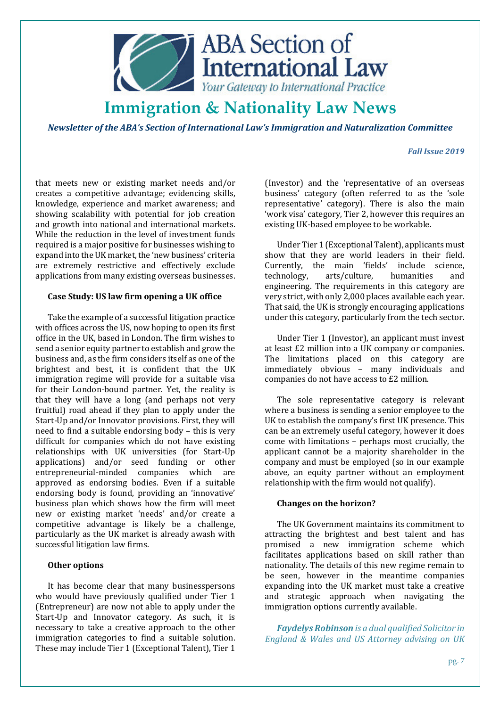

*Newsletter of the ABA's Section of International Law's Immigration and Naturalization Committee* 

# *Fall Issue 2019*

that meets new or existing market needs and/or creates a competitive advantage; evidencing skills, knowledge, experience and market awareness; and showing scalability with potential for job creation and growth into national and international markets. While the reduction in the level of investment funds required is a major positive for businesses wishing to expand into the UK market, the 'new business' criteria are extremely restrictive and effectively exclude applications from many existing overseas businesses.

#### **Case Study: US law firm opening a UK office**

Take the example of a successful litigation practice with offices across the US, now hoping to open its first office in the UK, based in London. The firm wishes to send a senior equity partner to establish and grow the business and, as the firm considers itself as one of the brightest and best, it is confident that the UK immigration regime will provide for a suitable visa for their London-bound partner. Yet, the reality is that they will have a long (and perhaps not very fruitful) road ahead if they plan to apply under the Start-Up and/or Innovator provisions. First, they will need to find a suitable endorsing body – this is very difficult for companies which do not have existing relationships with UK universities (for Start-Up applications) and/or seed funding or other entrepreneurial-minded companies which are approved as endorsing bodies. Even if a suitable endorsing body is found, providing an 'innovative' business plan which shows how the firm will meet new or existing market 'needs' and/or create a competitive advantage is likely be a challenge, particularly as the UK market is already awash with successful litigation law firms.

### **Other options**

It has become clear that many businesspersons who would have previously qualified under Tier 1 (Entrepreneur) are now not able to apply under the Start-Up and Innovator category. As such, it is necessary to take a creative approach to the other immigration categories to find a suitable solution. These may include Tier 1 (Exceptional Talent), Tier 1

(Investor) and the 'representative of an overseas business' category (often referred to as the 'sole representative' category). There is also the main 'work visa' category, Tier 2, however this requires an existing UK-based employee to be workable.

Under Tier 1 (Exceptional Talent), applicants must show that they are world leaders in their field. Currently, the main 'fields' include science, technology, arts/culture, humanities and engineering. The requirements in this category are very strict, with only 2,000 places available each year. That said, the UK is strongly encouraging applications under this category, particularly from the tech sector.

Under Tier 1 (Investor), an applicant must invest at least £2 million into a UK company or companies. The limitations placed on this category are immediately obvious – many individuals and companies do not have access to £2 million.

The sole representative category is relevant where a business is sending a senior employee to the UK to establish the company's first UK presence. This can be an extremely useful category, however it does come with limitations – perhaps most crucially, the applicant cannot be a majority shareholder in the company and must be employed (so in our example above, an equity partner without an employment relationship with the firm would not qualify).

#### **Changes on the horizon?**

The UK Government maintains its commitment to attracting the brightest and best talent and has promised a new immigration scheme which facilitates applications based on skill rather than nationality. The details of this new regime remain to be seen, however in the meantime companies expanding into the UK market must take a creative and strategic approach when navigating the immigration options currently available.

*Faydelys Robinson is a dual qualified Solicitor in England & Wales and US Attorney advising on UK*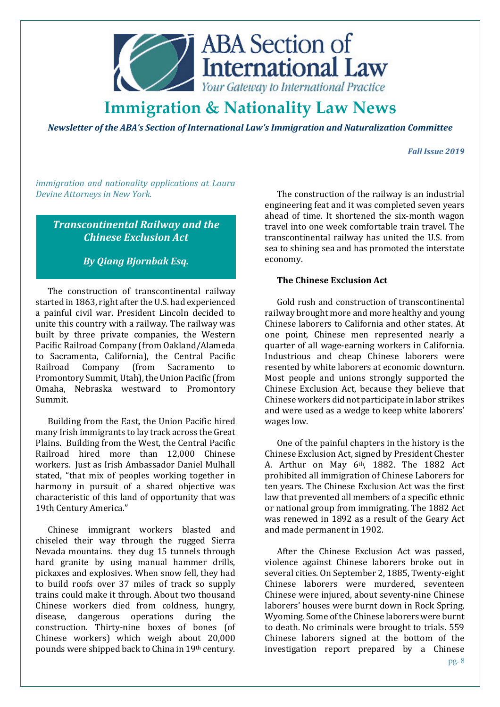

*Newsletter of the ABA's Section of International Law's Immigration and Naturalization Committee* 

# *Fall Issue 2019*

*immigration and nationality applications at Laura Devine Attorneys in New York.* 

*Transcontinental Railway and the Chinese Exclusion Act*

*By Qiang Bjornbak Esq.* 

The construction of transcontinental railway started in 1863, right after the U.S. had experienced a painful civil war. President Lincoln decided to unite this country with a railway. The railway was built by three private companies, the Western Pacific Railroad Company (from Oakland/Alameda to Sacramenta, California), the Central Pacific Railroad Company (from Sacramento to Promontory Summit, Utah), the Union Pacific (from Omaha, Nebraska westward to Promontory Summit.

Building from the East, the Union Pacific hired many Irish immigrants to lay track across the Great Plains. Building from the West, the Central Pacific Railroad hired more than 12,000 Chinese workers. Just as Irish Ambassador Daniel Mulhall stated, "that mix of peoples working together in harmony in pursuit of a shared objective was characteristic of this land of opportunity that was 19th Century America."

Chinese immigrant workers blasted and chiseled their way through the rugged Sierra Nevada mountains. they dug 15 tunnels through hard granite by using manual hammer drills, pickaxes and explosives. When snow fell, they had to build roofs over 37 miles of track so supply trains could make it through. About two thousand Chinese workers died from coldness, hungry, disease, dangerous operations during the construction. Thirty-nine boxes of bones (of Chinese workers) which weigh about 20,000 pounds were shipped back to China in 19th century.

The construction of the railway is an industrial engineering feat and it was completed seven years ahead of time. It shortened the six-month wagon travel into one week comfortable train travel. The transcontinental railway has united the U.S. from sea to shining sea and has promoted the interstate economy.

# **The Chinese Exclusion Act**

Gold rush and construction of transcontinental railway brought more and more healthy and young Chinese laborers to California and other states. At one point, Chinese men represented nearly a quarter of all wage-earning workers in California. Industrious and cheap Chinese laborers were resented by white laborers at economic downturn. Most people and unions strongly supported the Chinese Exclusion Act, because they believe that Chinese workers did not participate in labor strikes and were used as a wedge to keep white laborers' wages low.

One of the painful chapters in the history is the Chinese Exclusion Act, signed by President Chester A. Arthur on May  $6<sup>th</sup>$ , 1882. The 1882 Act prohibited all immigration of Chinese Laborers for ten years. The Chinese Exclusion Act was the first law that prevented all members of a specific ethnic or national group from immigrating. The 1882 Act was renewed in 1892 as a result of the Geary Act and made permanent in 1902.

After the Chinese Exclusion Act was passed, violence against Chinese laborers broke out in several cities. On September 2, 1885, Twenty-eight Chinese laborers were murdered, seventeen Chinese were injured, about seventy-nine Chinese laborers' houses were burnt down in Rock Spring, Wyoming. Some of the Chinese laborers were burnt to death. No criminals were brought to trials. 559 Chinese laborers signed at the bottom of the investigation report prepared by a Chinese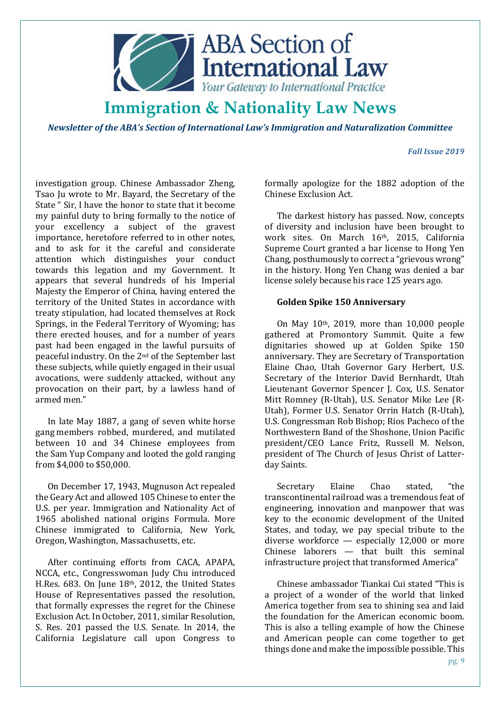

*Newsletter of the ABA's Section of International Law's Immigration and Naturalization Committee* 

### *Fall Issue 2019*

investigation group. Chinese Ambassador Zheng, Tsao Ju wrote to Mr. Bayard, the Secretary of the State " Sir, I have the honor to state that it become my painful duty to bring formally to the notice of your excellency a subject of the gravest importance, heretofore referred to in other notes, and to ask for it the careful and considerate attention which distinguishes your conduct towards this legation and my Government. It appears that several hundreds of his Imperial Majesty the Emperor of China, having entered the territory of the United States in accordance with treaty stipulation, had located themselves at Rock Springs, in the Federal Territory of Wyoming; has there erected houses, and for a number of years past had been engaged in the lawful pursuits of peaceful industry. On the 2nd of the September last these subjects, while quietly engaged in their usual avocations, were suddenly attacked, without any provocation on their part, by a lawless hand of armed men."

In late May 1887, a gang of seven white horse gang members robbed, murdered, and mutilated between 10 and 34 Chinese employees from the Sam Yup Company and looted the gold ranging from \$4,000 to \$50,000.

On December 17, 1943, Mugnuson Act repealed the Geary Act and allowed 105 Chinese to enter the U.S. per year. Immigration and Nationality Act of 1965 abolished national origins Formula. More Chinese immigrated to California, New York, Oregon, Washington, Massachusetts, etc.

After continuing efforts from CACA, APAPA, NCCA, etc., Congresswoman Judy Chu introduced H.Res. 683. On June 18th, 2012, the United States House of Representatives passed the resolution, that formally expresses the regret for the Chinese Exclusion Act. In October, 2011, similar Resolution, S. Res. 201 passed the U.S. Senate. In 2014, the California Legislature call upon Congress to

formally apologize for the 1882 adoption of the Chinese Exclusion Act.

The darkest history has passed. Now, concepts of diversity and inclusion have been brought to work sites. On March 16th, 2015, California Supreme Court granted a bar license to Hong Yen Chang, posthumously to correct a "grievous wrong" in the history. Hong Yen Chang was denied a bar license solely because his race 125 years ago.

# **Golden Spike 150 Anniversary**

On May 10th, 2019, more than 10,000 people gathered at Promontory Summit. Quite a few dignitaries showed up at Golden Spike 150 anniversary. They are Secretary of Transportation Elaine Chao, Utah Governor Gary Herbert, U.S. Secretary of the Interior David Bernhardt, Utah Lieutenant Governor Spencer J. Cox, U.S. Senator Mitt Romney (R-Utah), U.S. Senator Mike Lee (R-Utah), Former U.S. Senator Orrin Hatch (R-Utah), U.S. Congressman Rob Bishop; Rios Pacheco of the Northwestern Band of the Shoshone, Union Pacific president/CEO Lance Fritz, Russell M. Nelson, president of The Church of Jesus Christ of Latterday Saints.

Secretary Elaine Chao stated, "the transcontinental railroad was a tremendous feat of engineering, innovation and manpower that was key to the economic development of the United States, and today, we pay special tribute to the diverse workforce — especially 12,000 or more Chinese laborers — that built this seminal infrastructure project that transformed America"

Chinese ambassador Tiankai Cui stated "This is a project of a wonder of the world that linked America together from sea to shining sea and laid the foundation for the American economic boom. This is also a telling example of how the Chinese and American people can come together to get things done and make the impossible possible. This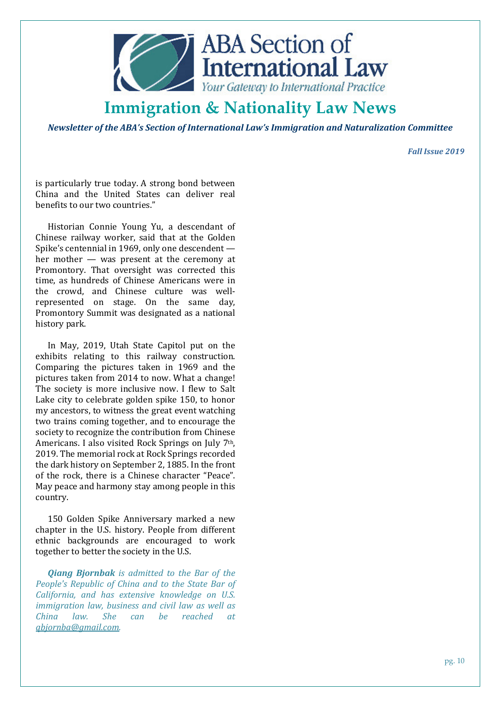

*Newsletter of the ABA's Section of International Law's Immigration and Naturalization Committee* 

*Fall Issue 2019* 

is particularly true today. A strong bond between China and the United States can deliver real benefits to our two countries."

Historian Connie Young Yu, a descendant of Chinese railway worker, said that at the Golden Spike's centennial in 1969, only one descendent her mother — was present at the ceremony at Promontory. That oversight was corrected this time, as hundreds of Chinese Americans were in the crowd, and Chinese culture was wellrepresented on stage. On the same day, Promontory Summit was designated as a national history park.

In May, 2019, Utah State Capitol put on the exhibits relating to this railway construction. Comparing the pictures taken in 1969 and the pictures taken from 2014 to now. What a change! The society is more inclusive now. I flew to Salt Lake city to celebrate golden spike 150, to honor my ancestors, to witness the great event watching two trains coming together, and to encourage the society to recognize the contribution from Chinese Americans. I also visited Rock Springs on July 7th, 2019. The memorial rock at Rock Springs recorded the dark history on September 2, 1885. In the front of the rock, there is a Chinese character "Peace". May peace and harmony stay among people in this country.

150 Golden Spike Anniversary marked a new chapter in the U.S. history. People from different ethnic backgrounds are encouraged to work together to better the society in the U.S.

*Qiang Bjornbak is admitted to the Bar of the People's Republic of China and to the State Bar of California, and has extensive knowledge on U.S. immigration law, business and civil law as well as China law. She can be reached at qbjornba@gmail.com.*